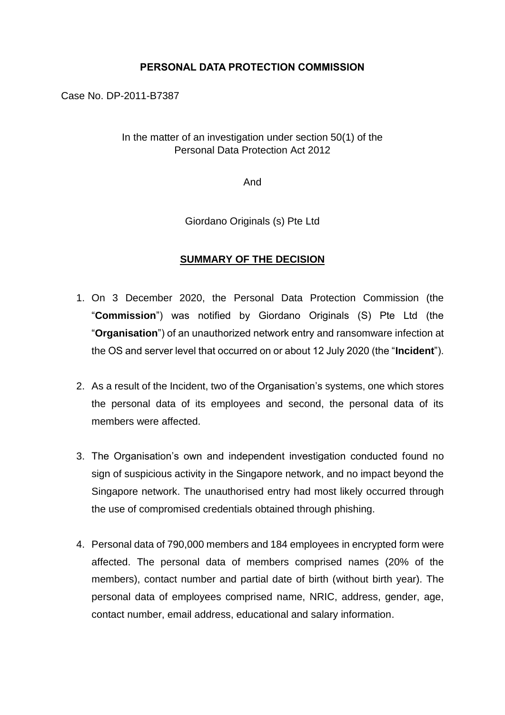## **PERSONAL DATA PROTECTION COMMISSION**

Case No. DP-2011-B7387

## In the matter of an investigation under section 50(1) of the Personal Data Protection Act 2012

And

Giordano Originals (s) Pte Ltd

## **SUMMARY OF THE DECISION**

- 1. On 3 December 2020, the Personal Data Protection Commission (the "**Commission**") was notified by Giordano Originals (S) Pte Ltd (the "**Organisation**") of an unauthorized network entry and ransomware infection at the OS and server level that occurred on or about 12 July 2020 (the "**Incident**").
- 2. As a result of the Incident, two of the Organisation's systems, one which stores the personal data of its employees and second, the personal data of its members were affected.
- 3. The Organisation's own and independent investigation conducted found no sign of suspicious activity in the Singapore network, and no impact beyond the Singapore network. The unauthorised entry had most likely occurred through the use of compromised credentials obtained through phishing.
- 4. Personal data of 790,000 members and 184 employees in encrypted form were affected. The personal data of members comprised names (20% of the members), contact number and partial date of birth (without birth year). The personal data of employees comprised name, NRIC, address, gender, age, contact number, email address, educational and salary information.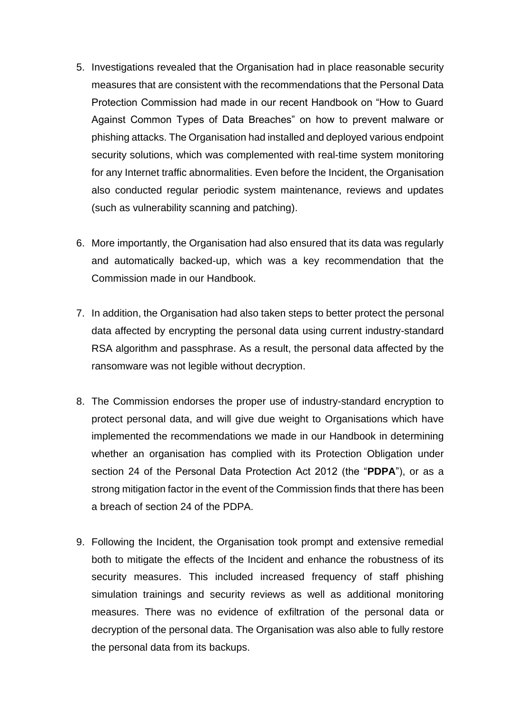- 5. Investigations revealed that the Organisation had in place reasonable security measures that are consistent with the recommendations that the Personal Data Protection Commission had made in our recent Handbook on "How to Guard Against Common Types of Data Breaches" on how to prevent malware or phishing attacks. The Organisation had installed and deployed various endpoint security solutions, which was complemented with real-time system monitoring for any Internet traffic abnormalities. Even before the Incident, the Organisation also conducted regular periodic system maintenance, reviews and updates (such as vulnerability scanning and patching).
- 6. More importantly, the Organisation had also ensured that its data was regularly and automatically backed-up, which was a key recommendation that the Commission made in our Handbook.
- 7. In addition, the Organisation had also taken steps to better protect the personal data affected by encrypting the personal data using current industry-standard RSA algorithm and passphrase. As a result, the personal data affected by the ransomware was not legible without decryption.
- 8. The Commission endorses the proper use of industry-standard encryption to protect personal data, and will give due weight to Organisations which have implemented the recommendations we made in our Handbook in determining whether an organisation has complied with its Protection Obligation under section 24 of the Personal Data Protection Act 2012 (the "**PDPA**"), or as a strong mitigation factor in the event of the Commission finds that there has been a breach of section 24 of the PDPA.
- 9. Following the Incident, the Organisation took prompt and extensive remedial both to mitigate the effects of the Incident and enhance the robustness of its security measures. This included increased frequency of staff phishing simulation trainings and security reviews as well as additional monitoring measures. There was no evidence of exfiltration of the personal data or decryption of the personal data. The Organisation was also able to fully restore the personal data from its backups.